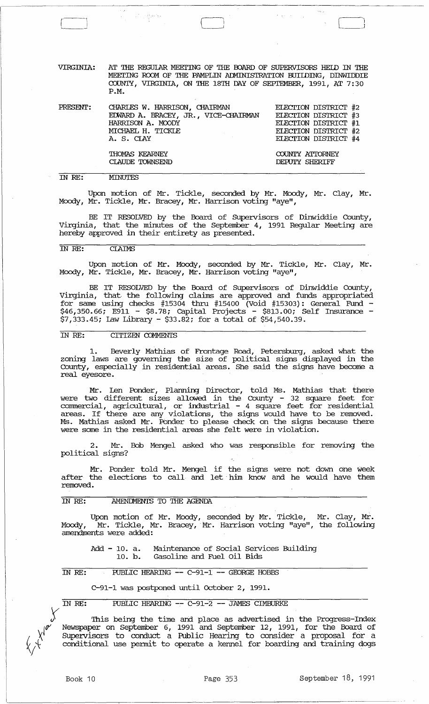VIRGINIA: AT THE REGUlAR MEErING OF THE OOARD OF SUPERVISORS HElD IN THE MEETING ROOM OF THE PAMPLIN ADMINISTRATION BUILDING, DINWIDDIE COUNTY, VIRGINIA, ON THE 18TH DAY OF SEPTEMBER, 1991, AT 7:30 P.M.

 $\left( \begin{array}{cc} 1 & 1 \\ 1 & 1 \end{array} \right)$  $\Box$ 

 $\label{eq:2} \mathcal{A}^{(2)} = \frac{1}{2} \frac{1}{2} \mathcal{B}^{(2)} \mathcal{B}^2$ 

| PRESENT: | CHARLES W. HARRISON, CHAIRMAN                             | ELECTION DISTRICT #2                         |
|----------|-----------------------------------------------------------|----------------------------------------------|
|          | EDWARD A. BRACEY, JR., VICE-CHAIRMAN<br>HARRISON A. MOODY | ELECTION DISTRICT #3<br>ELECTION DISTRICT #1 |
|          | MICHAEL H. TICKLE                                         | ELECTION DISTRICT #2                         |
|          | A. S. CIAY                                                | ELECTION DISTRICT #4                         |
|          | <b>THOMAS KEARNEY</b>                                     | COUNTY ATTORNEY                              |
|          | CLAUDE TOWNSEND                                           | DEPUTY SHERIFF                               |

IN *RE:*  MINUTES

----, <sup>i</sup>~--

Upon motion of Mr. Tickle, seconded by Mr. Moody, Mr. Clay, Mr. Moody, Mr. Tickle, Mr. Bracey, Mr. Harrison voting "aye",

BE IT RESOLVED by the Board of SUpervisors of Dinwiddie County, Virginia, that the minutes of the September 4, 1991 Regular Meeting are hereby approved in their entirety as presented.

### IN *RE:* CIAIMS

Upon motion of Mr. Moody, seconded by Mr. Tickle, Mr. Clay, Mr. Moody, Mr. Tickle, Mr. Bracey, Mr. Harrison voting "aye",

BE IT RESOLVED by the Board of SUpervisors of Dinwiddie County, Virginia, that· the following claims are approved and funds appropriated for same using checks #15304 thru #15400 (Void #15303): General Fund - \$46,350.66; E911 - \$8.78; Capital Projects - \$813.00; Self Insurance -\$7,333.45; Law Library - \$33.82; for a total of \$54,540.39.

# IN *RE:* CITIZEN COMMENTS

1. Beverly Mathias of Frontage Road, Petersburg, asked what the zoning laws are governing the size of political signs displayed in the County, especially in residential areas. She said the signs have become a real eyesore.

Mr. Len Ponder, Planning Director, told Ms. Mathias that there were two different sizes allowed in the County - 32 square feet for commercial, agricultural, or industrial - 4 square feet for residential areas. If there are any violations, the signs would have to be removed. Ms. Mathias asked Mr. Ponder to please check on the signs because there were some in the residential areas she felt were in violation.

2. Mr. Bob Mengel asked who was responsible for removing the political signs?

Mr. Ponder told Mr. Mengel if the signs were not down one week after the elections to call and let him know and he would have them removed.

#### AMENDMENTS TO THE AGENDA IN *RE:*

Upon motion of Mr. Moody, seconded by Mr. Tickle, Mr. Clay, Mr. Moody, Mr. Tickle, Mr. Bracey,' Mr. Harrison voting "aye", the following amendments were added:

Add - 10. a. Maintenance of Social Services Building<br>10. b. Gasoline and Fuel Oil Bids Gasoline and Fuel Oil Bids

IN RE: PUBLIC HEARING -- C-91-1 -- GEORGE HOBBS

C-91-1 was postponed until October 2, 1991.

IN RE: PUBLIC HEARING -- C-91-2 -- JAMES CIMBURKE

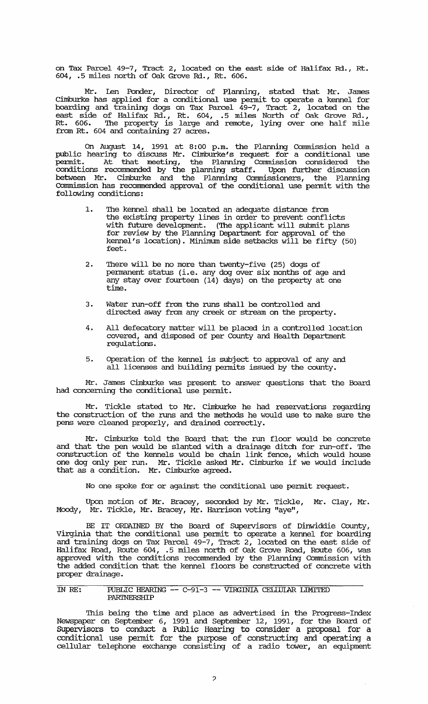on Tax Parcel 49-7, Tract 2, located on the east side of Halifax Rd., Rt. 604, .5 miles north of oak Grove Rd., Rt. 606.

Mr. Len Ponder, Director of Planning, stated that Mr. James Cllnburke has applied for a conditional use pennit to operate a kennel for boarding and. training dogs on Tax Parcel 49-7, Tract 2, located on the east side of Halifax Rd., Rt. 604, .5 miles North of oak Grove Rd., Rt. 606. The property is large and remote, lying over one half mile from Rt. 604 and. containing 27 acres.

On August 14, 1991 at 8:00 p.m. the Planning connnission held a public hearing to discuss Mr. Cimburke's request for a conditional use permit. At that meeting, the Planning commission considered the conditions recommended by the planning staff. Upon further discussion between Mr. Cimburke and the Planning Commissioners, the Planning Commission has recommended approval of the conditional use permit with the following conditions:

- 1. The kennel shall be located an adequate distance from the existing property lines in order to prevent conflicts with future development. (The applicant will submit plans for review by the Planning Department for approval of the kennel's location). Minimum side setbacks will be fifty (50) feet.
- 2. There will be no more than twenty-five (25) dogs of permanent status (i.e. any dog over six months of age and any stay over fourteen  $(14)$  days) on the property at one time.
- 3. Water run-off from the runs shall be controlled and directed away from any creek or stream on the property.
- 4. All defecatory matter will be placed in a controlled location covered, and disposed of per County and Health Department regulations.
- 5. Operation of the kennel is subject to approval of any and all licenses and building permits issued by the county.

Mr. James Cimburke was present to answer questions that the Board had concerning the conditional use permit.

Mr. Tickle stated to Mr. Cimburke he had reservations regarding the construction of the runs and the methods he would use to make sure the pens were cleaned properly, and drained correctly.

Mr. Cllnburke told the Board that the run floor would be concrete and that the pen would be slanted with a drainage ditch for run-off. The construction of the kennels would be chain link fence, which would house one dog only per run. Mr. Tickle asked Mr. Cllnburke if we would include that as a condition. Mr. Cimburke agreed.

No one spoke for or against the conditional use pennit request.

Upon motion of Mr. Bracey, seconded by Mr. Tickle, Mr. Clay, Mr. Moody, Mr. Tickle, Mr. Bracey, Mr. Harrison voting "aye",

BE IT ORDAINED BY the Board of Supervisors of Dinwiddie County, Virginia that the conditional use pennit to operate a kennel for boarding and training dogs on Tax Parcel 49-7, Tract 2, located on the east side of Halifax Road, Route 604, .5 miles north of oak Grove Road, Route 606, was approved with the conditions recommended by the Planning Commission with the added condition that the kennel floors be constructed of concrete with proper drainage.

## IN RE: PUBLIC HEARING -- C-91-3 -- VIRGINIA CELWIAR LIMI'IED **PARINERSHIP**

This being the time and place as advertised in the Progress-Index Newspaper on September 6, 1991 and September 12, 1991, for the Board of SUpervisors to conduct a Public Hearing to consider a proposal for a conditional use permit for the purpose of constructing and operating a cellular telephone exchange consisting of a radio tower, an equipment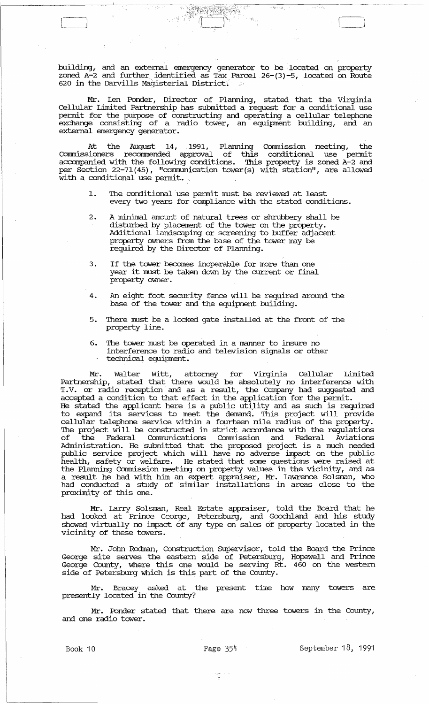building, and an external emergency generator to be located on property zoned A-2 and further\_ identified as Tax Parcel 26-(3)-5, located on Route 620 in the Darvills Magisterial District.

Mr. Len Ponder, Director of Planning, stated that the Virginia Cellular Limited Partnership has submitted a request for a conditional use permit for the purpose of constructing and operating a cellular telephone exchange consisting of a radio tower, an equipment building, and an external emergency generator.

At the August 14, 1991, Planning Commission meeting, the cannnissioners recommended approval of this conditional use permit accompanied with the following conditions. This property is zoned A-2 and per Section 22-71 (45), "corrnnunication tower(s) with station", are allowed with a conditional use permit..

- 1. The conditional use pennit must be reviewed at least every two years for compliance with the stated conditions.
- 2. A minimal amount of natural trees or shrubbery shall be disturbed by placement of the tower on the property. Additional landscaping or screening to buffer adjacent property owners from the base of the tower may be required by the Director of Planning.
- 3. If the tower becomes inoperable for more than one year it must be taken down by the current or final property owner.
- 4. An eight foot security fence will be required around the base of the tower and the equipment building.
- 5. There must be a locked gate installed at the front of the property line.
- 6. The tower must be operated in a manner to insure no interference to radio and television signals or other<br>- technical equipment.

Mr. Walter Witt, attorney for Virginia Cellular Limited Partnership, stated that there would be absolutely no interference with T.V. or radio reception and as a result, the Company had suggested and accepted a condition to that effect in the application for the permit. He stated the applicant here is a public utility and as such is required to expand its services to meet the demand. This project will provide cellular telephone service within a fourteen mile radius of the property. The project will be constructed in strict accordance with the regulations of the Federal Communications comnission and Federal Aviations Administration. He submitted that the proposed project is a much needed public service project which will have no adverse impact on the public health, safety or welfare. He stated that some questions were raised at the Planning Comnission meeting on property values in the vicinity, and as a result he had with him an expert appraiser, Mr. lawrence Solsman, who had conducted a study of similar installations in areas close to the proximity of this one.

Mr. larry Solsman, Real Estate appraiser, told the Board that he had looked at Prince George, Petersburg, and Goochland and his study showed virtually no impact of any type on sales of property located in the vicinity of these towers.

Mr. John Rodman, construction supervisor, told the Board the Prince George site serves the eastern side of Petersburg, Hopewell and Prince George County, where this one would be serving Rt. 460 on the western side of Petersburg which is this part of the County.

Mr. Bracey asked at the present time how many towers are presently located in the County?

Mr. Ponder stated that there are now three towers in the County, and one radio tower.

Book 10 **Page 354** September 18, 1991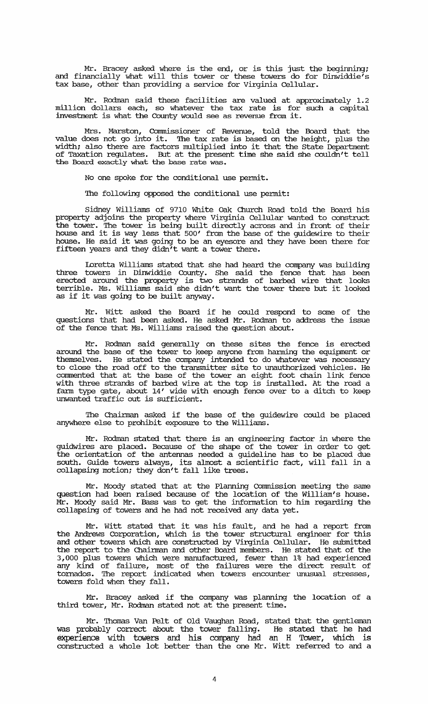Mr. Bracey asked where is the end, or is this just the beginning; and financially what will this tower or these towers do for Dinwiddie's tax base, other than providing a service for virginia Cellular.

Mr. Rodman said these facilities are valued at approximately 1. 2 million dollars each, so whatever the tax rate is for such a capital investment is what the County would see as revenue from it.

Mrs. Marston, Commissioner of Revenue, told the Board that the value does not go into it. The tax rate is based on the height, plus the width; also there are factors multiplied into it that the state Department of Taxation regulates. But at the present time she said she couldn't tell the Board exactly what the base rate was.

No one spoke for the conditional use pennit.

The following opposed the conditional use permit:

Sidney Williams of 9710 White Oak Church Road told the Board his property adjoins the property where Virginia Cellular wanted to construct the tower. The tower is being built directly across and in front of their house and it is way less that 500' from the base of the guidewire to their house. He said it was going to be an eyesore and they have been there for fifteen years and they didn't want a tower there.

Loretta Williams stated that she had heard the company was building three towers in Dinwiddie County. She said the fence that has been erected around the property is two strands of barbed wire that looks terrible. Ms. Williams said she didn't want the tower there but it looked as if it was going to be built anyway.

Mr. witt asked the Board if he could respond to some of the questions that had been asked. He asked Mr. Rodman to address the issue of the fence that Ms. Williams raised the question about.

Mr. Rodman said generally on these sites the fence is erected around the base of the tower to keep anyone from banning the equipment or thernsel ves. He stated the company intended to do whatever was necessary to close the road off to the transmitter site to unauthorized vehicles. He commented that at the base of the tower an eight foot chain link fence with three strands of barbed wire at the top is installed. At the road a fann type gate, about 14' wide with enough fence over to a ditch to keep unwanted traffic out is sufficient.

The Chairman asked if the base of the guidewire could be placed anywhere else to prohibit exposure to the Williams.

Mr. Rodman stated that there is an engineering factor in where the guidwires are placed. Because of the shape of the tower in order to get the orientation of the antennas needed a guideline has to be placed due south. Guide towers always, its almost a scientific fact, will fall in a collapsing motion; they don't fall like trees.

Mr. Moody stated that at the Planning Commission meeting the same question had been raised because of the location of the William's house. Mr. Moody said Mr. Bass was to get the information to him regarding the collapsing of towers and he had not received any data yet.

Mr. witt stated that it was his fault, and he had a report from the Andrews corporation, which is the tower structural engineer for this and other towers which are constructed by Virginia Cellular. He submitted the report to the Chairman and other Board members. He stated that of the 3,000 plus towers which were manufactured, fewer than 1% had experienced any kind of failure, most of the failures were the direct result of tornados. '!he report indicated when towers encounter unusual stresses, towers fold when they fall.

Mr. Bracey asked if the company was planning the location of a third tower, Mr. Rodman stated not at the present time.

Mr. Thomas Van Pelt of Old Vaughan Road, stated that the gentleman was probably correct about the tower falling. He stated that he had experience with towers and his company had an H Tower, which is constructed a whole lot better than the one Mr. witt referred to and a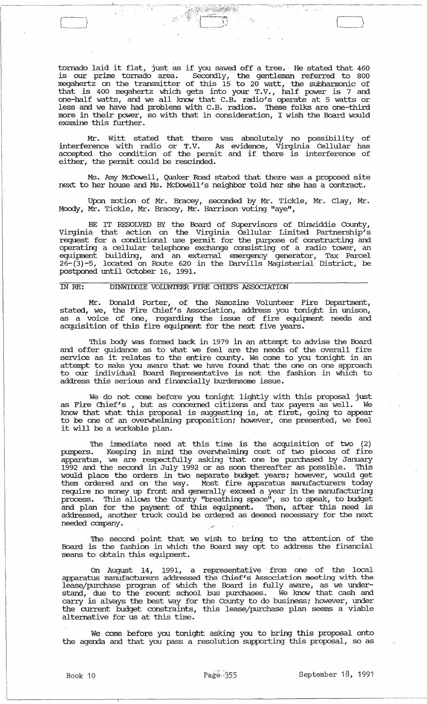tornado laid it flat, just as if you sawed off a tree. He stated that 460 is our prime tornado area. Secondly, the gentleman referred to 800 megahertz on the transmitter of this 15 to 20 watt, the subhannonic of that is 400 megahertz which gets into your T. V., half power is 7 and one-half watts, and we all know that C.B. radio's operate at 5 watts or less and we have had problems with C.B. radios. These folks are one-third more in their power, so with that in consideration, I wish the Board would examine this further.

Mr. witt stated that there was absolutely no possibility of interference with radio or T.V. As evidence, Virginia Cellular has accepted the condition of the permit and if. there is interference of either, the permit could be rescinded.

Ms. *Arrr:l* McDowell, Quaker. Road stated that there was a proposed site next to her house and Ms. McDowell's neighbor told her she has a contract.

Upon motion of Mr. Bracey, seconded by Mr. Tickle, Mr. Clay, Mr • Moody, Mr. Tickle, Mr. Bracey, Mr. Harrison voting "aye",

BE IT RESOLVED BY the Board of Supervisors of Dinwiddie County, Virginia that action on the Virginia Cellular Limited Partnership's request for a conditional use permit for the purpose of constructing and operating a cellular telephone exchange consisting of a radio tower, an equipment building, and an external emergency generator, Tax Parcel 26-(3)-5, located on Route 620 in the Darvills Magisterial District, be postponed until october 16, 1991.

## IN RE: DINWIDDIE VOIDNTEER FIRE CHIEFS ASSOCIATION

Mr. Donald Porter, of the Namozine Volunteer Fire Department, stated, we, the Fire Chief's Association, address you tonight in unison, as a voice of one, regarding the issue of fire equipment needs and acquisition of this fire equipment for the next five years.

This body was formed back in 1979 in an attempt to advise the Board and offer guidance as to what we feel are the needs of the overall fire service as it relates to the entire county. We come to you tonight in an attempt to make you aware that we have found that the one on one approach to our individual Board Representative is not the fashion in which to address this serious and financially burdensome issue.

We do not come before you tonight lightly with this proposal just as Fire Chief's , but as concerned citizens and tax payers as well. We know that what this proposal is suggesting is, at first, going to appear to be one of an overwhelming proposition; however, one presented, we feel it will be a workable plan.

The immediate need at this time is the acquisition of two (2) pumpers. Keeping in mind the overwhelming cost of two pieces of fire apparatus, we are respectfully asking that one be purchased by January 1992 and the second in July 1992 or as soon thereafter as possible. '!his would place the orders in two separate budget years; however, would get them ordered and on the way. Most fire apparatus manufacturers today require no money up front and generally exceed a year in the manufacturing process. This allows the County "breathing space", so to speak, to budget process. This allows are coally showning space, so as speak, so hanger and plan for the payment of this equipment. Then, after this need is addressed, another truck could be ordered as deemed necessary for the next needed company.

The second point that we wish to bring to the attention of the Board is the fashion in which the Board may opt to address the financial means to obtain this equipment.

On August 14, 1991, a representative· from one of the local apparatus manufacturers addressed the Chief's Association meeting with the lease/purchase program of: which the Board is fully aware, as we understand, due to the recent school bus purchases. We know that cash and carry is always the best way for the County to do business; however, under the current budget constraints, this lease/purchase plan seems a viable alternative for us at this time.

We come before you tonight asking you to bring this proposal onto the agenda and that you pass a resolution supporting this proposal, so as

l\_J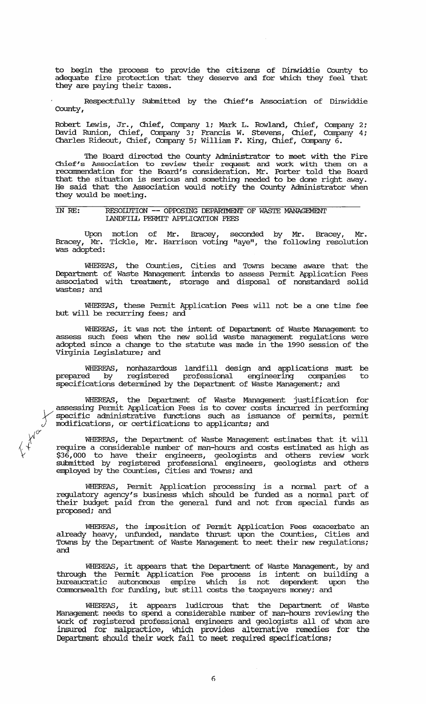to begin the process to provide the citizens of Dinwiddie County to adequate fire protection that they deserve and for which they feel that they are paying their taxes.

Respectfully Submitted by the Chief's Association of Dinwiddie County,

Robert lewis, Jr., Chief, Company 1; Mark L. Rowland, Chief, Company 2; David Runion, Chief, Company 3; Francis W. stevens, Chief, Company 4; Charles Rideout, Chief, Company 5; William F. King, Chief, Company 6.

The Board directed the County Administrator to meet with the Fire Chief's Association to review their request and work with them on a recormnendation for the Board's consideration. Mr. Porter told the Board that the situation is serious and something needed to be done right away. He said that the Association would notify the County Administrator when they would be meeting.

## IN RE: RESOIlJTION -- OPFOSING DEPARIMENT OF WASTE MANAGEMENT lANDFILL PERMIT APPLICATION FEES

Upon motion of Mr. Bracey, seconded by Mr. Bracey, Mr. Bracey, Mr. Tickle, Mr. Harrison voting "aye", the following resolution was adopted:

WHEREAS, the Counties, cities and Towns became aware that the Department of Waste Management intends to assess Permit Application Fees associated with treatment, storage and disposal of nonstandard solid wastes; and

WHEREAS, these Pennit Application Fees will not be a one time fee but will be recurring fees; and

WHEREAS, it was not the intent of Department of Waste Management to assess such fees when the new solid waste management regulations were adopted since a change to the statute was made in the 1990 session of the Virginia legislature; and

WHEREAS, nonhazardous landfill design and applications must be prepared by registered professional engineering companies to prepared by registered professional engineering companie<br>specifications determined by the Department of Waste Management; and

WHEREAS, the Department of Waste Management justification for assessing Permit Application Fees is to cover costs incurred in performing specific administrative functions such as issuance of permits, permit modifications, specific administrative functions such as issuance of pennits, pennit modifications, or certifications to applicants; and

WHEREAS, the Department of Waste Management estimates that it will require a considerable number of man-hours and costs estimated as high as \$36,000 to have their engineers, geologists and others review work submitted by registered professional engineers, geologists and others employed by the Counties, cities and Towns; and

 $\chi$   $\chi^0$ 

WHEREAS, Permit Application processing is a normal part of a regulatory agency's business which should be funded as a nonnal part of their budget paid from the general fund and not from special funds as proposed; and

WHEREAS, the imposition of Permit Application Fees exacerbate an already heavy, unfunded, mandate thrust upon the Counties, cities and Towns by the Deparbnent of Waste Management to meet their new regulations; and

WHEREAS, it appears that the Department of Waste Management, by and through the Permit Application Fee process is intent on building a bureaucratic autonomous empire which is not dependent upon the Connnonweal th for funding, but still costs the taxpayers money; and

WHEREAS, it appears ludicrous that the Deparbnent of Waste Management needs to spend a considerable number of man-hours reviewing the work of registered professional engineers and geologists all of whom are insured for malpractice, which provides alternative remedies for the Department should their work fail to meet required specifications;

6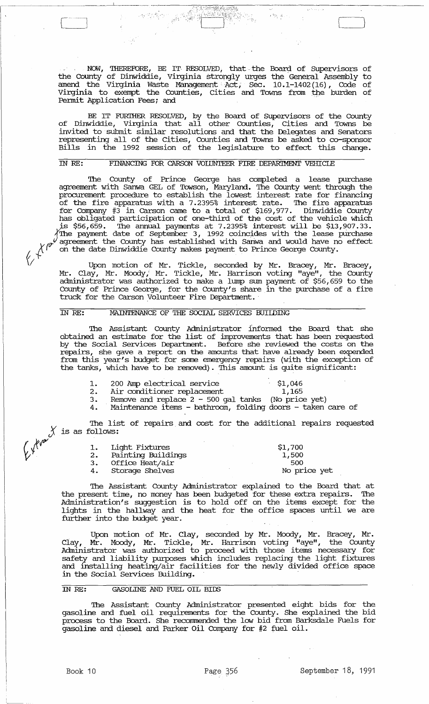NOW, THEREFORE, BE IT RESOLVED, that the Board of Supervisors of the County of Dinwiddie, Virginia strongly urges the General Assembly to amend the Virginia Waste Management Act, Sec. 10.1-1402 (16), Code of Virginia to exempt the Counties, cities and Towns from the burden of Pennit Application Fees; and

:,t~=Y:;',;'"

BE IT FURIHER RESOLVED, by the Board of SUpervisors of the County of Dinwiddie, Virginia that all other Counties, cities and Towns be invited to submit similar resolutions and that the Delegates and Senators representing all of the Cities, counties and Towns be asked to co-sponsor Bills in the 1992 session of the legislature to effect this change.

### IN RE: FINANCING FOR CARSON VOLUNTEER FIRE DEPARIMENT VEHICLE

/ --;: *\_-j,* ,,-.;~::~~~t'{{(~/-\'.~;-";?~;.l . ~', .' ..

The County of Prince George has completed a lease purchase agreement with Sanwa GEL of Towson, Maryland. The County went through the procurement procedure to establish the lowest interest rate for financing of the fire apparatus with a 7.2395% interest rate. The fire apparatus for Company #3 in carson came to a total of \$169,977. Dinwiddie County has obligated participation of one-third of the cost of the vehicle which . s \$56,659. The annual payments at 7.2395% interest will be \$13,907.33. The payment date of September 3, 1992 coincides with the lease purchase  $\chi$ <sup>(f)</sup> agreement the County has established with Sanwa and would have no effect on the date Dinwiddie County makes payment to Prince George County.

 $\sqrt{2}$  Upon motion of Mr. Tickle, seconded by Mr. Bracey, Mr. Bracey, Mr. Clay, Mr. Moody,' Mr. Tickle, Mr. Harrison voting "aye", the courity administrator was authorized to make a lump sum payment of \$56,659 to the County of Prince George, for the County's share in the purchase of a fire truck for the Carson Volunteer Fire Department.

#### IN RE: MAINTENANCE OF THE SOCIAL SERVICES BUILDING

The Assistant County Administrator informed the Board that she obtained an estimate for the list of improvements that has been requested by the Social Services Department. Before she reviewed the costs on the repairs, she gave a report on the amounts that have already been expended from this year's budget for some emergency repairs (with the exception of the tanks, which have to be removed). This amount is quite significant:

|    | 200 Amp electrical service                    | \$1,046      |
|----|-----------------------------------------------|--------------|
| 2. | Air conditioner replacement                   | 1,165        |
|    | Domatro and road $2 \times 500$ and $\pm 200$ | $MT_2$ $222$ |

3. Remove and replace 2 - 500 gal tanks (No price yet) 4. Maintenance items - bathroom, folding doors - taken care of

The list of repairs and cost for the additional repairs requested is as follows:

| 1. | Light Fixtures        | \$1,700      |
|----|-----------------------|--------------|
|    | 2. Painting Buildings | 1,500        |
|    | 3. Office Heat/air    | -500         |
|    | 4. Storage Shelves    | No price yet |

The Assistant County Administrator explained to the Board that at the present time, no money has been budgeted for these extra repairs. The Administration's suggestion is to hold off on the items except for the lights in the hallway and the heat for the office spaces until we are further into the budget year.

Upon motion of Mr. Clay, seconded by Mr. Moody, Mr. Bracey, Mr. Clay, Mr. Moody, Mr. Tickle, Mr. Harrison voting "aye", the County Administrator was authorized to proceed with those items necessary for safety and liability purposes which includes replacing the light fixtures and installing heating/air facilities for the newly divided office space in the Social services Building.

## IN RE: GASOLINE AND FUEL OIL BIDS

The Assistant County Administrator presented eight bids for the gasoline and fuel oil requirements for the County. She explained the bid process to the Board. She recommended the low bid from Barksdale Fuels for gasoline and diesel and Parker Oil Company for #2 fuel oil.